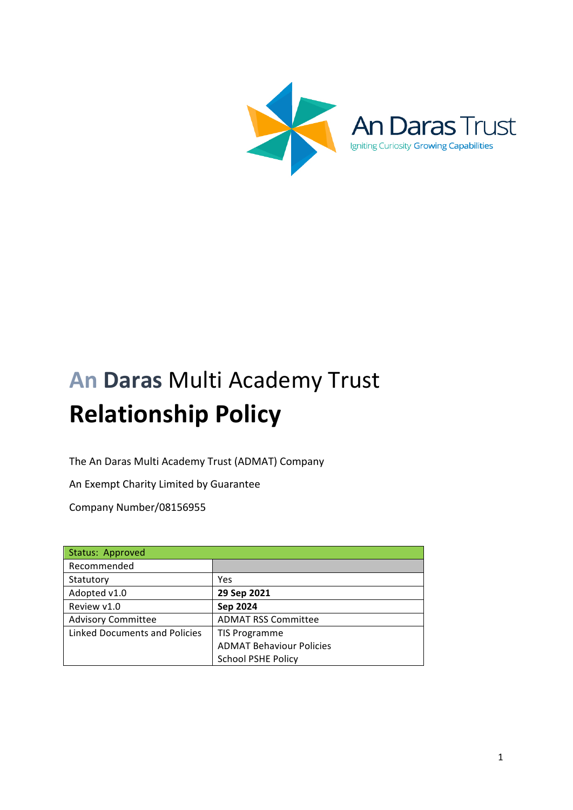

# **An Daras Multi Academy Trust Relationship Policy**

The An Daras Multi Academy Trust (ADMAT) Company

An Exempt Charity Limited by Guarantee

Company Number/08156955

| Status: Approved                     |                                 |
|--------------------------------------|---------------------------------|
| Recommended                          |                                 |
| Statutory                            | <b>Yes</b>                      |
| Adopted v1.0                         | 29 Sep 2021                     |
| Review v1.0                          | Sep 2024                        |
| <b>Advisory Committee</b>            | <b>ADMAT RSS Committee</b>      |
| <b>Linked Documents and Policies</b> | <b>TIS Programme</b>            |
|                                      | <b>ADMAT Behaviour Policies</b> |
|                                      | <b>School PSHE Policy</b>       |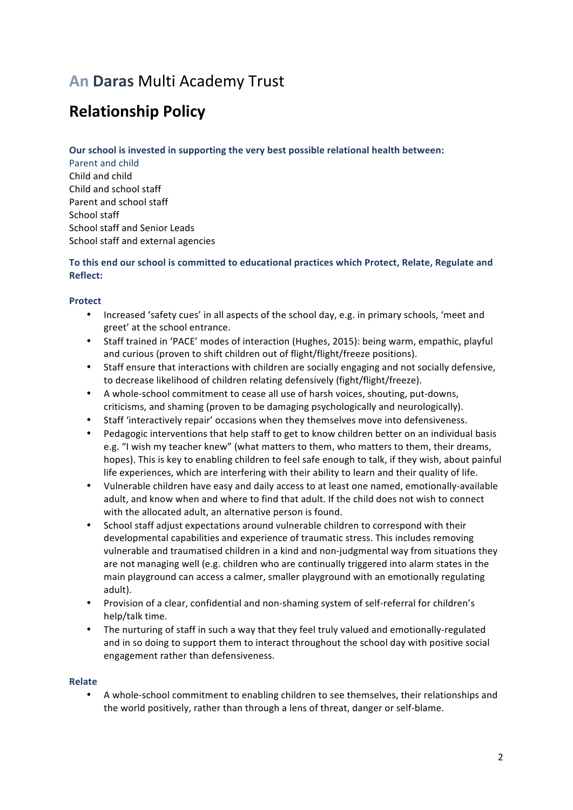# **An Daras Multi Academy Trust**

# **Relationship Policy**

### **Our school is invested in supporting the very best possible relational health between:**

Parent and child Child and child Child and school staff Parent and school staff School staff School staff and Senior Leads School staff and external agencies

## To this end our school is committed to educational practices which Protect, Relate, Regulate and **Reflect:**

## **Protect**

- Increased 'safety cues' in all aspects of the school day, e.g. in primary schools, 'meet and greet' at the school entrance.
- Staff trained in 'PACE' modes of interaction (Hughes, 2015): being warm, empathic, playful and curious (proven to shift children out of flight/flight/freeze positions).
- Staff ensure that interactions with children are socially engaging and not socially defensive. to decrease likelihood of children relating defensively (fight/flight/freeze).
- A whole-school commitment to cease all use of harsh voices, shouting, put-downs, criticisms, and shaming (proven to be damaging psychologically and neurologically).
- Staff 'interactively repair' occasions when they themselves move into defensiveness.
- Pedagogic interventions that help staff to get to know children better on an individual basis e.g. "I wish my teacher knew" (what matters to them, who matters to them, their dreams, hopes). This is key to enabling children to feel safe enough to talk, if they wish, about painful life experiences, which are interfering with their ability to learn and their quality of life.
- Vulnerable children have easy and daily access to at least one named, emotionally-available adult, and know when and where to find that adult. If the child does not wish to connect with the allocated adult, an alternative person is found.
- School staff adjust expectations around vulnerable children to correspond with their developmental capabilities and experience of traumatic stress. This includes removing vulnerable and traumatised children in a kind and non-judgmental way from situations they are not managing well (e.g. children who are continually triggered into alarm states in the main playground can access a calmer, smaller playground with an emotionally regulating adult).
- Provision of a clear, confidential and non-shaming system of self-referral for children's help/talk time.
- The nurturing of staff in such a way that they feel truly valued and emotionally-regulated and in so doing to support them to interact throughout the school day with positive social engagement rather than defensiveness.

#### **Relate**

A whole-school commitment to enabling children to see themselves, their relationships and the world positively, rather than through a lens of threat, danger or self-blame.